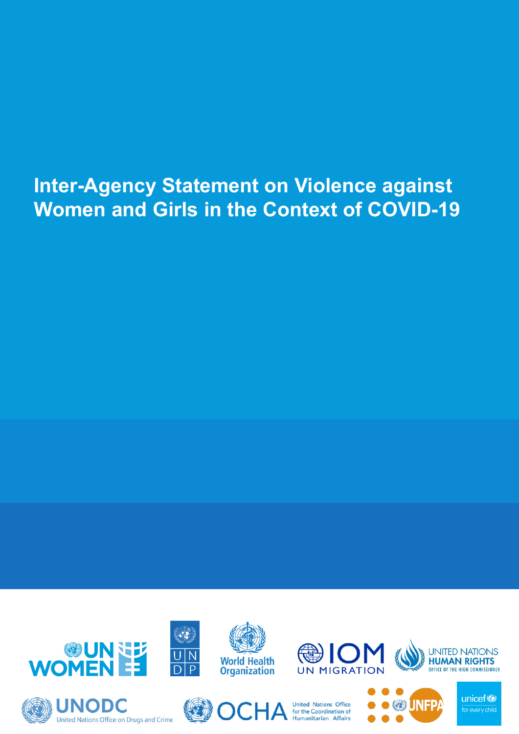### **Inter-Agency Statement on Violence against Women and Girls in the Context of COVID-19**

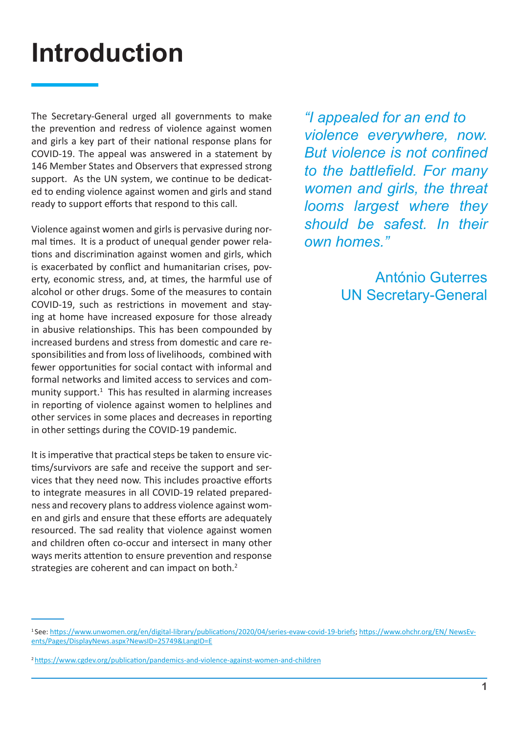## **Introduction**

The Secretary-General urged all governments to make the prevention and redress of violence against women and girls a key part of their national response plans for COVID-19. The appeal was answered in a statement by 146 Member States and Observers that expressed strong support. As the UN system, we continue to be dedicated to ending violence against women and girls and stand ready to support efforts that respond to this call.

Violence against women and girls is pervasive during normal times. It is a product of unequal gender power relations and discrimination against women and girls, which is exacerbated by conflict and humanitarian crises, poverty, economic stress, and, at times, the harmful use of alcohol or other drugs. Some of the measures to contain COVID-19, such as restrictions in movement and staying at home have increased exposure for those already in abusive relationships. This has been compounded by increased burdens and stress from domestic and care responsibilities and from loss of livelihoods, combined with fewer opportunities for social contact with informal and formal networks and limited access to services and community support. $1$  This has resulted in alarming increases in reporting of violence against women to helplines and other services in some places and decreases in reporting in other settings during the COVID-19 pandemic.

It is imperative that practical steps be taken to ensure victims/survivors are safe and receive the support and services that they need now. This includes proactive efforts to integrate measures in all COVID-19 related preparedness and recovery plans to address violence against women and girls and ensure that these efforts are adequately resourced. The sad reality that violence against women and children often co-occur and intersect in many other ways merits attention to ensure prevention and response strategies are coherent and can impact on both.<sup>2</sup>

*"I appealed for an end to violence everywhere, now. But violence is not confined to the battlefield. For many women and girls, the threat looms largest where they should be safest. In their own homes."*

> António Guterres UN Secretary-General

<sup>1</sup> See: <https://www.unwomen.org/en/digital-library/publications/2020/04/series-evaw-covid-19-briefs>; [https://www.ohchr.org/EN/ NewsEv](https://www.ohchr.org/EN/NewsEvents/Pages/DisplayNews.aspx?NewsID=25749&LangID=E)[ents/Pages/DisplayNews.aspx?NewsID=25749&LangID=E](https://www.ohchr.org/EN/NewsEvents/Pages/DisplayNews.aspx?NewsID=25749&LangID=E)

<sup>2</sup><https://www.cgdev.org/publication/pandemics-and-violence-against-women-and-children>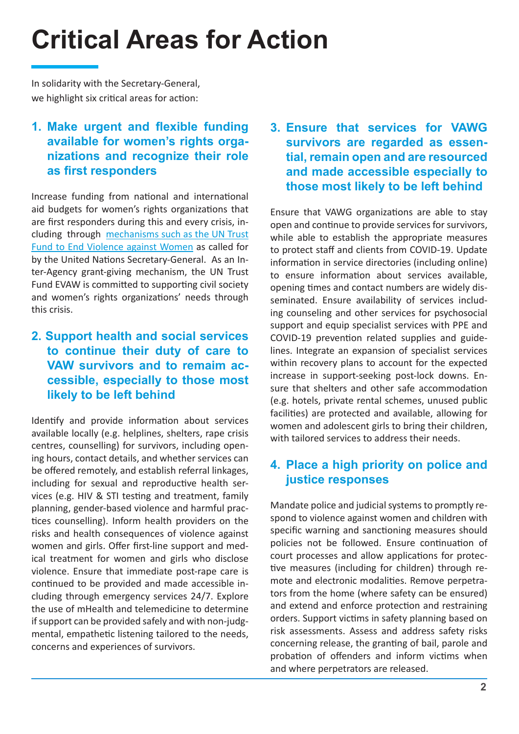# **Critical Areas for Action**

In solidarity with the Secretary-General, we highlight six critical areas for action:

#### **1. [Make urgent and flexible funding](https://untf.unwomen.org/en/news-and-events/in-focus-covid-19#U6) [available for women's rights orga](https://untf.unwomen.org/en/news-and-events/in-focus-covid-19#U6)[nizations and recognize their role](https://untf.unwomen.org/en/news-and-events/in-focus-covid-19#U6) [as first responders](https://untf.unwomen.org/en/news-and-events/in-focus-covid-19#U6)**

Increase funding from national and international aid budgets for women's rights organizations that are first responders during this and every crisis, including through [mechanisms such as the UN Trust](https://www.un.org/sites/un2.un.org/files/sg_report_socio-economic_impact_of_covid19.pdf) [Fund to End Violence against Women](https://www.un.org/sites/un2.un.org/files/sg_report_socio-economic_impact_of_covid19.pdf) as called for by the United Nations Secretary-General. As an Inter-Agency grant-giving mechanism, the UN Trust Fund EVAW is committed to supporting civil society and women's rights organizations' needs through this crisis.

#### **2. [Support health and social services](https://www.who.int/reproductivehealth/publications/vaw-covid-19/en/) [to continue their duty of care to](https://www.who.int/reproductivehealth/publications/vaw-covid-19/en/) [VAW survivors and to remaim ac](https://www.who.int/reproductivehealth/publications/vaw-covid-19/en/)[cessible, especially to those most](https://www.who.int/reproductivehealth/publications/vaw-covid-19/en/) [likely to be left behind](https://www.who.int/reproductivehealth/publications/vaw-covid-19/en/)**

Identify and provide information about services available locally (e.g. helplines, shelters, rape crisis centres, counselling) for survivors, including opening hours, contact details, and whether services can be offered remotely, and establish referral linkages, including for sexual and reproductive health services (e.g. HIV & STI testing and treatment, family planning, gender-based violence and harmful practices counselling). Inform health providers on the risks and health consequences of violence against women and girls. Offer first-line support and medical treatment for women and girls who disclose violence. Ensure that immediate post-rape care is continued to be provided and made accessible including through emergency services 24/7. Explore the use of mHealth and telemedicine to determine if support can be provided safely and with non-judgmental, empathetic listening tailored to the needs, concerns and experiences of survivors.

**3. [Ensure that services for VAWG](https://www.unwomen.org/en/digital-library/publications/2020/04/brief-covid-19-and-essential-services-provision-for-survivors-of-violence-against-women-and-girls) [survivors are regarded as essen](https://www.unwomen.org/en/digital-library/publications/2020/04/brief-covid-19-and-essential-services-provision-for-survivors-of-violence-against-women-and-girls)[tial, remain open and are resourced](https://www.unwomen.org/en/digital-library/publications/2020/04/brief-covid-19-and-essential-services-provision-for-survivors-of-violence-against-women-and-girls) [and made accessible especially to](https://www.unwomen.org/en/digital-library/publications/2020/04/brief-covid-19-and-essential-services-provision-for-survivors-of-violence-against-women-and-girls) [those most likely to be left behind](https://www.unwomen.org/en/digital-library/publications/2020/04/brief-covid-19-and-essential-services-provision-for-survivors-of-violence-against-women-and-girls)**

Ensure that VAWG organizations are able to stay open and continue to provide services for survivors, while able to establish the appropriate measures to protect staff and clients from COVID-19. Update information in service directories (including online) to ensure information about services available, opening times and contact numbers are widely disseminated. Ensure availability of services including counseling and other services for psychosocial support and equip specialist services with PPE and COVID-19 prevention related supplies and guidelines. Integrate an expansion of specialist services within recovery plans to account for the expected increase in support-seeking post-lock downs. Ensure that shelters and other safe accommodation (e.g. hotels, private rental schemes, unused public facilities) are protected and available, allowing for women and adolescent girls to bring their children, with tailored services to address their needs.

#### **4. [Place a high priority on police and](https://www.unodc.org/documents/Advocacy-Section/GBVAW_and_UNODC_in_COVID19_final_7Apr2020.pdf) [justice responses](https://www.unodc.org/documents/Advocacy-Section/GBVAW_and_UNODC_in_COVID19_final_7Apr2020.pdf)**

Mandate police and judicial systems to promptly respond to violence against women and children with specific warning and sanctioning measures should policies not be followed. Ensure continuation of court processes and allow applications for protective measures (including for children) through remote and electronic modalities. Remove perpetrators from the home (where safety can be ensured) and extend and enforce protection and restraining orders. Support victims in safety planning based on risk assessments. Assess and address safety risks concerning release, the granting of bail, parole and probation of offenders and inform victims when and where perpetrators are released.